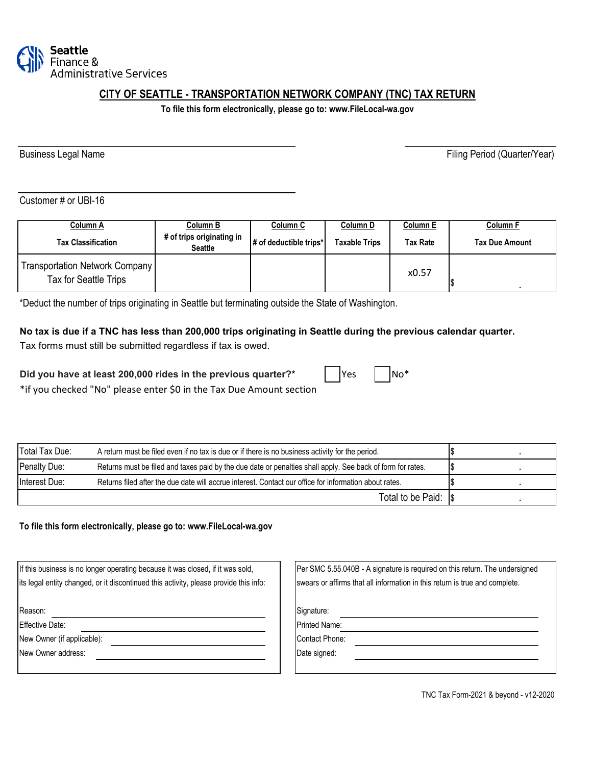

# **CITY OF SEATTLE - TRANSPORTATION NETWORK COMPANY (TNC) TAX RETURN**

**To file this form electronically, please go to: www.FileLocal-wa.gov**

Business Legal Name **Filing Period** (Quarter/Year)

Customer # or UBI-16

| Column A                                                | Column B                                    | Column C               | Column D      | Column E        | <b>Column F</b>       |
|---------------------------------------------------------|---------------------------------------------|------------------------|---------------|-----------------|-----------------------|
| <b>Tax Classification</b>                               | # of trips originating in<br><b>Seattle</b> | # of deductible trips* | Taxable Trips | <b>Tax Rate</b> | <b>Tax Due Amount</b> |
| Transportation Network Company<br>Tax for Seattle Trips |                                             |                        |               | x0.57           |                       |

\*Deduct the number of trips originating in Seattle but terminating outside the State of Washington.

#### **No tax is due if a TNC has less than 200,000 trips originating in Seattle during the previous calendar quarter.**

Tax forms must still be submitted regardless if tax is owed.

| Did you have at least 200,000 rides in the previous quarter?* | Yes | $No^*$ |
|---------------------------------------------------------------|-----|--------|
|---------------------------------------------------------------|-----|--------|

\*if you checked "No" please enter \$0 in the Tax Due Amount section

| Total Tax Due:                                                                                                             | A return must be filed even if no tax is due or if there is no business activity for the period.       |     |  |
|----------------------------------------------------------------------------------------------------------------------------|--------------------------------------------------------------------------------------------------------|-----|--|
| Penalty Due:<br>Returns must be filed and taxes paid by the due date or penalties shall apply. See back of form for rates. |                                                                                                        | 1\$ |  |
| Interest Due:                                                                                                              | Returns filed after the due date will accrue interest. Contact our office for information about rates. |     |  |
|                                                                                                                            | Total to be Paid: Is                                                                                   |     |  |

**To file this form electronically, please go to: www.FileLocal-wa.gov**

| If this business is no longer operating because it was closed, if it was sold,        | Per SMC 5.55.040B - A signature is required on this return. The undersigned |
|---------------------------------------------------------------------------------------|-----------------------------------------------------------------------------|
| its legal entity changed, or it discontinued this activity, please provide this info: | swears or affirms that all information in this return is true and complete. |
|                                                                                       |                                                                             |
| Reason:                                                                               | Signature:                                                                  |
| Effective Date:                                                                       | <b>Printed Name:</b>                                                        |
| New Owner (if applicable):                                                            | <b>Contact Phone:</b>                                                       |
| New Owner address:                                                                    | Date signed:                                                                |
|                                                                                       |                                                                             |